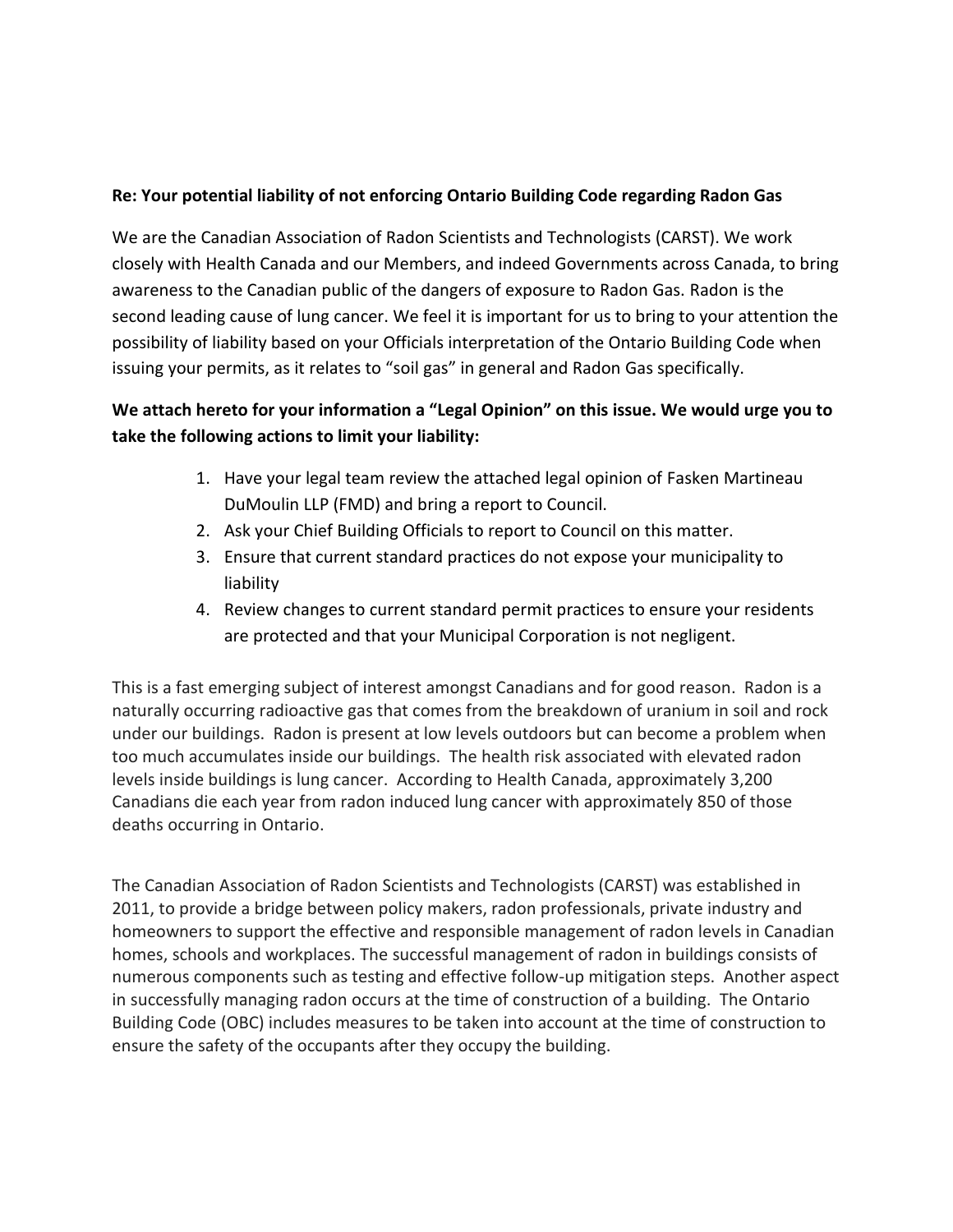## **Re: Your potential liability of not enforcing Ontario Building Code regarding Radon Gas**

We are the Canadian Association of Radon Scientists and Technologists (CARST). We work closely with Health Canada and our Members, and indeed Governments across Canada, to bring awareness to the Canadian public of the dangers of exposure to Radon Gas. Radon is the second leading cause of lung cancer. We feel it is important for us to bring to your attention the possibility of liability based on your Officials interpretation of the Ontario Building Code when issuing your permits, as it relates to "soil gas" in general and Radon Gas specifically.

## **We attach hereto for your information a "Legal Opinion" on this issue. We would urge you to take the following actions to limit your liability:**

- 1. Have your legal team review the attached legal opinion of Fasken Martineau DuMoulin LLP (FMD) and bring a report to Council.
- 2. Ask your Chief Building Officials to report to Council on this matter.
- 3. Ensure that current standard practices do not expose your municipality to liability
- 4. Review changes to current standard permit practices to ensure your residents are protected and that your Municipal Corporation is not negligent.

This is a fast emerging subject of interest amongst Canadians and for good reason. Radon is a naturally occurring radioactive gas that comes from the breakdown of uranium in soil and rock under our buildings. Radon is present at low levels outdoors but can become a problem when too much accumulates inside our buildings. The health risk associated with elevated radon levels inside buildings is lung cancer. According to Health Canada, approximately 3,200 Canadians die each year from radon induced lung cancer with approximately 850 of those deaths occurring in Ontario.

The Canadian Association of Radon Scientists and Technologists (CARST) was established in 2011, to provide a bridge between policy makers, radon professionals, private industry and homeowners to support the effective and responsible management of radon levels in Canadian homes, schools and workplaces. The successful management of radon in buildings consists of numerous components such as testing and effective follow-up mitigation steps. Another aspect in successfully managing radon occurs at the time of construction of a building. The Ontario Building Code (OBC) includes measures to be taken into account at the time of construction to ensure the safety of the occupants after they occupy the building.